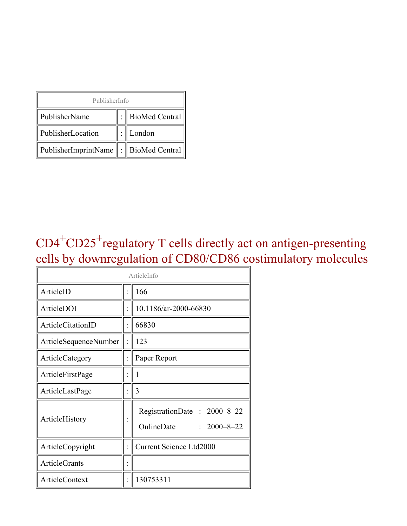| PublisherInfo                               |  |                    |  |  |
|---------------------------------------------|--|--------------------|--|--|
| PublisherName                               |  | :   BioMed Central |  |  |
| PublisherLocation                           |  | London             |  |  |
| PublisherImprintName    :    BioMed Central |  |                    |  |  |

### $CD4<sup>+</sup>CD25<sup>+</sup>$  regulatory T cells directly act on antigen-presenting cells by downregulation of CD80/CD86 costimulatory molecules

| ArticleInfo                  |  |                                                                |  |
|------------------------------|--|----------------------------------------------------------------|--|
| ArticleID                    |  | 166                                                            |  |
| ArticleDOI                   |  | 10.1186/ar-2000-66830                                          |  |
| ArticleCitationID            |  | 66830                                                          |  |
| <b>ArticleSequenceNumber</b> |  | 123                                                            |  |
| ArticleCategory              |  | Paper Report                                                   |  |
| ArticleFirstPage             |  | 1                                                              |  |
| ArticleLastPage              |  | 3                                                              |  |
| ArticleHistory               |  | RegistrationDate: 2000-8-22<br>OnlineDate<br>$: 2000 - 8 - 22$ |  |
| ArticleCopyright             |  | <b>Current Science Ltd2000</b>                                 |  |
| <b>ArticleGrants</b>         |  |                                                                |  |
| <b>ArticleContext</b>        |  | 130753311                                                      |  |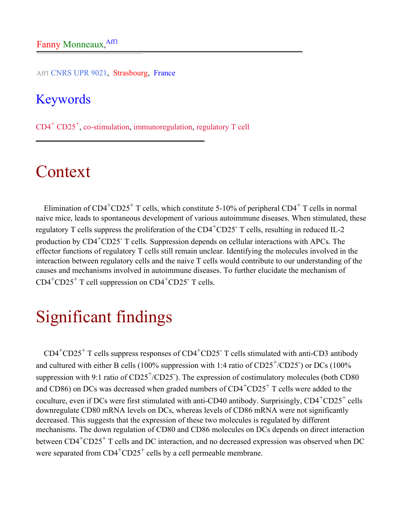Aff1 CNRS UPR 9021, Strasbourg, France

#### Keywords

CD4<sup>+</sup> CD25<sup>+</sup> , co-stimulation, immunoregulation, regulatory T cell

### Context

Elimination of  $CD4^+CD25^+$  T cells, which constitute 5-10% of peripheral  $CD4^+$  T cells in normal naive mice, leads to spontaneous development of various autoimmune diseases. When stimulated, these regulatory T cells suppress the proliferation of the CD4<sup>+</sup>CD25<sup>-</sup> T cells, resulting in reduced IL-2 production by  $CD4+CD25$ <sup>-</sup> T cells. Suppression depends on cellular interactions with APCs. The effector functions of regulatory T cells still remain unclear. Identifying the molecules involved in the interaction between regulatory cells and the naive T cells would contribute to our understanding of the causes and mechanisms involved in autoimmune diseases. To further elucidate the mechanism of  $CD4^+CD25^+$  T cell suppression on  $CD4^+CD25^-$  T cells.

## Significant findings

 $CD4+CD25+T$  cells suppress responses of  $CD4+CD25+T$  cells stimulated with anti-CD3 antibody and cultured with either B cells (100% suppression with 1:4 ratio of  $CD25^{+}/CD25$ ) or DCs (100% suppression with 9:1 ratio of  $CD25^+/CD25$ . The expression of costimulatory molecules (both CD80 and CD86) on DCs was decreased when graded numbers of  $CD4+CD25+T$  cells were added to the coculture, even if DCs were first stimulated with anti-CD40 antibody. Surprisingly,  $CD4^+CD25^+$  cells downregulate CD80 mRNA levels on DCs, whereas levels of CD86 mRNA were not significantly decreased. This suggests that the expression of these two molecules is regulated by different mechanisms. The down regulation of CD80 and CD86 molecules on DCs depends on direct interaction between CD4<sup>+</sup>CD25<sup>+</sup> T cells and DC interaction, and no decreased expression was observed when DC were separated from  $CD4^+CD25^+$  cells by a cell permeable membrane.